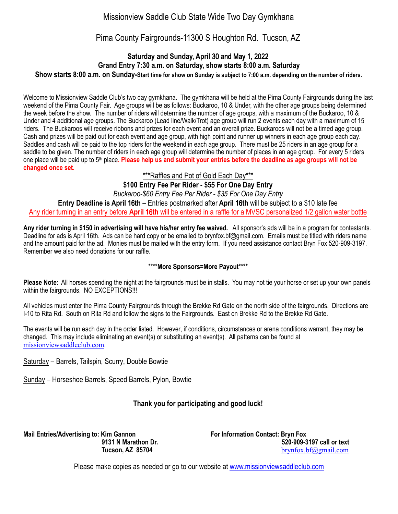# Missionview Saddle Club State Wide Two Day Gymkhana

## Pima County Fairgrounds-11300 S Houghton Rd. Tucson, AZ

#### **Saturday and Sunday, April** 30 and May 1, 2022 **Grand Entry 7:30 a.m. on Saturday, show starts 8:00 a.m. Saturday Show starts 8:00 a.m. on Sunday-Start time for show on Sunday is subject to 7:00 a.m. depending on the number of riders.**

Welcome to Missionview Saddle Club's two day gymkhana. The gymkhana will be held at the Pima County Fairgrounds during the last weekend of the Pima County Fair. Age groups will be as follows: Buckaroo, 10 & Under, with the other age groups being determined the week before the show. The number of riders will determine the number of age groups, with a maximum of the Buckaroo, 10 & Under and 4 additional age groups. The Buckaroo (Lead line/Walk/Trot) age group will run 2 events each day with a maximum of 15 riders. The Buckaroos will receive ribbons and prizes for each event and an overall prize. Buckaroos will not be a timed age group. Cash and prizes will be paid out for each event and age group, with high point and runner up winners in each age group each day. Saddles and cash will be paid to the top riders for the weekend in each age group. There must be 25 riders in an age group for a saddle to be given. The number of riders in each age group will determine the number of places in an age group. For every 5 riders one place will be paid up to 5th place**. Please help us and submit your entries before the deadline as age groups will not be changed once set.**

### \*\*\*Raffles and Pot of Gold Each Day\*\*\*

**\$100 Entry Fee Per Rider - \$5**5 **For One Day Entry** 

*Buckaroo-\$60 Entry Fee Per Rider - \$3*5 *For One Day Entry*  **Entry Deadline is April 1**6**th** – Entries postmarked after **April 1**6**th** will be subject to a \$10 late fee Any rider turning in an entry before **April 1**6**th** will be entered in a raffle for a MVSC personalized 1/2 gallon water bottle

**Any rider turning in \$150 in advertising will have his/her entry fee waived.** All sponsor's ads will be in a program for contestants. Deadline for ads is April 16th. Ads can be hard copy or be emailed to brynfox.bf@gmail.com. Emails must be titled with riders name and the amount paid for the ad. Monies must be mailed with the entry form. If you need assistance contact Bryn Fox 520-909-3197. Remember we also need donations for our raffle.

#### \*\*\*\***More Sponsors=More Payout\*\*\*\***

**Please Note**: All horses spending the night at the fairgrounds must be in stalls. You may not tie your horse or set up your own panels within the fairgrounds. NO EXCEPTIONS!!!

All vehicles must enter the Pima County Fairgrounds through the Brekke Rd Gate on the north side of the fairgrounds. Directions are I-10 to Rita Rd. South on Rita Rd and follow the signs to the Fairgrounds. East on Brekke Rd to the Brekke Rd Gate.

The events will be run each day in the order listed. However, if conditions, circumstances or arena conditions warrant, they may be changed. This may include eliminating an event(s) or substituting an event(s). All patterns can be found at [missionviewsaddleclub.com](http://missionviewsaddleclub.com).

Saturday – Barrels, Tailspin, Scurry, Double Bowtie

Sunday – Horseshoe Barrels, Speed Barrels, Pylon, Bowtie

### **Thank you for participating and good luck!**

**Mail Entries/Advertising to: Kim Gannon For Information Contact: Bryn Fox** 

**9131 N Marathon Dr.** 520-909-3197 call or text<br>Tucson, AZ 85704 brynfox.bf@gmail.com  **Tucson, AZ 85704** [brynfox.bf@gmail.com](mailto:brynfox.bf@gmail.com)

Please make copies as needed or go to our website at [www.missionviewsaddleclub.com](http://www.missionviewsaddleclub.com)